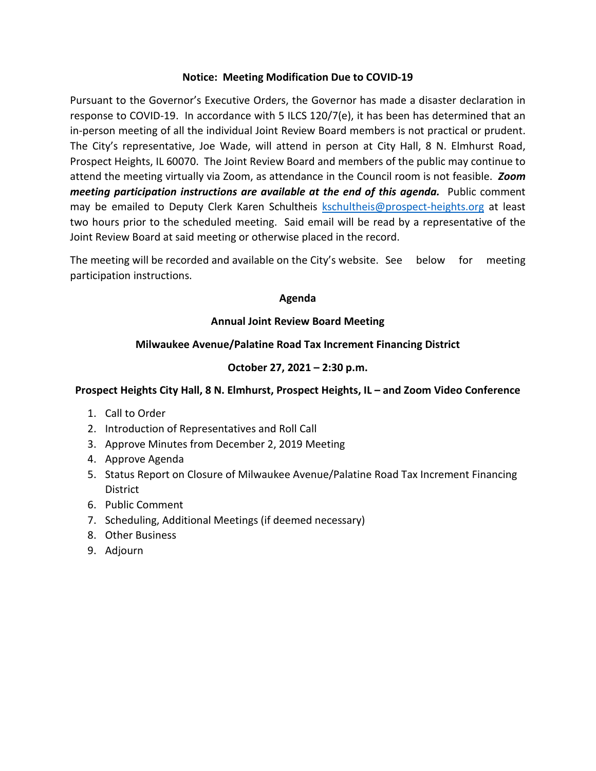### **Notice: Meeting Modification Due to COVID-19**

Pursuant to the Governor's Executive Orders, the Governor has made a disaster declaration in response to COVID-19. In accordance with 5 ILCS 120/7(e), it has been has determined that an in-person meeting of all the individual Joint Review Board members is not practical or prudent. The City's representative, Joe Wade, will attend in person at City Hall, 8 N. Elmhurst Road, Prospect Heights, IL 60070. The Joint Review Board and members of the public may continue to attend the meeting virtually via Zoom, as attendance in the Council room is not feasible. *Zoom meeting participation instructions are available at the end of this agenda.* Public comment may be emailed to Deputy Clerk Karen Schultheis [kschultheis@prospect-heights.org](mailto:kschultheis@prospect-heights.org) at least two hours prior to the scheduled meeting. Said email will be read by a representative of the Joint Review Board at said meeting or otherwise placed in the record.

The meeting will be recorded and available on the City's website. See below for meeting participation instructions.

#### **Agenda**

# **Annual Joint Review Board Meeting**

# **Milwaukee Avenue/Palatine Road Tax Increment Financing District**

# **October 27, 2021 – 2:30 p.m.**

### **Prospect Heights City Hall, 8 N. Elmhurst, Prospect Heights, IL – and Zoom Video Conference**

- 1. Call to Order
- 2. Introduction of Representatives and Roll Call
- 3. Approve Minutes from December 2, 2019 Meeting
- 4. Approve Agenda
- 5. Status Report on Closure of Milwaukee Avenue/Palatine Road Tax Increment Financing District
- 6. Public Comment
- 7. Scheduling, Additional Meetings (if deemed necessary)
- 8. Other Business
- 9. Adjourn